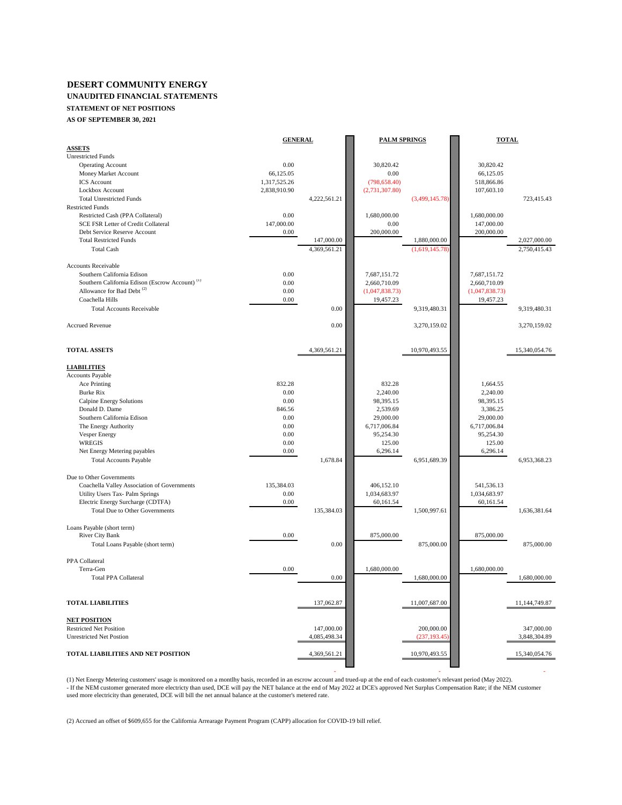### **DESERT COMMUNITY ENERGY UNAUDITED FINANCIAL STATEMENTS STATEMENT OF NET POSITIONS**

**AS OF SEPTEMBER 30, 2021**

|                                                            | <b>GENERAL</b> |              | <b>PALM SPRINGS</b> |                | <b>TOTAL</b>   |               |
|------------------------------------------------------------|----------------|--------------|---------------------|----------------|----------------|---------------|
| <b>ASSETS</b>                                              |                |              |                     |                |                |               |
| <b>Unrestricted Funds</b>                                  |                |              |                     |                |                |               |
| <b>Operating Account</b>                                   | 0.00           |              | 30,820.42           |                | 30,820.42      |               |
| Money Market Account                                       | 66,125.05      |              | 0.00                |                | 66,125.05      |               |
| <b>ICS</b> Account                                         | 1,317,525.26   |              | (798, 658.40)       |                | 518,866.86     |               |
| Lockbox Account                                            | 2,838,910.90   |              | (2,731,307.80)      |                | 107,603.10     |               |
| <b>Total Unrestricted Funds</b>                            |                | 4,222,561.21 |                     | (3,499,145.78) |                | 723,415.43    |
| <b>Restricted Funds</b>                                    |                |              |                     |                |                |               |
| Restricted Cash (PPA Collateral)                           | 0.00           |              | 1,680,000.00        |                | 1,680,000.00   |               |
| SCE FSR Letter of Credit Collateral                        | 147,000.00     |              | 0.00                |                | 147,000.00     |               |
| Debt Service Reserve Account                               | 0.00           |              | 200,000.00          |                | 200,000.00     |               |
| <b>Total Restricted Funds</b>                              |                | 147,000.00   |                     | 1,880,000.00   |                | 2.027.000.00  |
| <b>Total Cash</b>                                          |                | 4,369,561.21 |                     | (1,619,145.78) |                | 2,750,415.43  |
|                                                            |                |              |                     |                |                |               |
| <b>Accounts Receivable</b>                                 |                |              |                     |                |                |               |
| Southern California Edison                                 | 0.00           |              | 7,687,151.72        |                | 7,687,151.72   |               |
| Southern California Edison (Escrow Account) <sup>(1)</sup> | 0.00           |              | 2,660,710.09        |                | 2,660,710.09   |               |
| Allowance for Bad Debt <sup>(2)</sup>                      | 0.00           |              | (1,047,838.73)      |                | (1,047,838.73) |               |
| Coachella Hills                                            | 0.00           |              | 19,457.23           |                | 19,457.23      |               |
| <b>Total Accounts Receivable</b>                           |                | 0.00         |                     | 9,319,480.31   |                | 9,319,480.31  |
|                                                            |                |              |                     |                |                |               |
| <b>Accrued Revenue</b>                                     |                | 0.00         |                     | 3,270,159.02   |                | 3,270,159.02  |
|                                                            |                |              |                     |                |                |               |
|                                                            |                |              |                     |                |                |               |
| <b>TOTAL ASSETS</b>                                        |                | 4,369,561.21 |                     | 10,970,493.55  |                | 15,340,054.76 |
|                                                            |                |              |                     |                |                |               |
| <b>LIABILITIES</b>                                         |                |              |                     |                |                |               |
| Accounts Payable                                           | 832.28         |              | 832.28              |                | 1,664.55       |               |
| Ace Printing                                               | 0.00           |              |                     |                |                |               |
| <b>Burke Rix</b>                                           |                |              | 2,240.00            |                | 2,240.00       |               |
| Calpine Energy Solutions                                   | 0.00           |              | 98,395.15           |                | 98,395.15      |               |
| Donald D. Dame                                             | 846.56         |              | 2,539.69            |                | 3,386.25       |               |
| Southern California Edison                                 | 0.00           |              | 29,000.00           |                | 29,000.00      |               |
| The Energy Authority                                       | 0.00           |              | 6,717,006.84        |                | 6,717,006.84   |               |
| Vesper Energy                                              | 0.00           |              | 95,254.30           |                | 95,254.30      |               |
| <b>WREGIS</b>                                              | 0.00           |              | 125.00              |                | 125.00         |               |
| Net Energy Metering payables                               | 0.00           |              | 6,296.14            |                | 6,296.14       |               |
| <b>Total Accounts Payable</b>                              |                | 1,678.84     |                     | 6,951,689.39   |                | 6,953,368.23  |
|                                                            |                |              |                     |                |                |               |
| Due to Other Governments                                   |                |              |                     |                |                |               |
| Coachella Valley Association of Governments                | 135,384.03     |              | 406,152.10          |                | 541,536.13     |               |
| Utility Users Tax- Palm Springs                            | 0.00           |              | 1,034,683.97        |                | 1,034,683.97   |               |
| Electric Energy Surcharge (CDTFA)                          | 0.00           |              | 60,161.54           |                | 60,161.54      |               |
| Total Due to Other Governments                             |                | 135,384.03   |                     | 1,500,997.61   |                | 1,636,381.64  |
| Loans Payable (short term)                                 |                |              |                     |                |                |               |
| River City Bank                                            | 0.00           |              | 875,000.00          |                | 875,000.00     |               |
| Total Loans Payable (short term)                           |                | 0.00         |                     | 875,000.00     |                | 875,000.00    |
|                                                            |                |              |                     |                |                |               |
| PPA Collateral                                             |                |              |                     |                |                |               |
| Terra-Gen                                                  | 0.00           |              | 1,680,000.00        |                | 1,680,000.00   |               |
| <b>Total PPA Collateral</b>                                |                | 0.00         |                     | 1,680,000.00   |                | 1,680,000.00  |
|                                                            |                |              |                     |                |                |               |
|                                                            |                |              |                     |                |                |               |
| <b>TOTAL LIABILITIES</b>                                   |                | 137,062.87   |                     | 11,007,687.00  |                | 11,144,749.87 |
|                                                            |                |              |                     |                |                |               |
| <b>NET POSITION</b>                                        |                |              |                     |                |                |               |
| <b>Restricted Net Position</b>                             |                | 147,000.00   |                     | 200,000.00     |                | 347,000.00    |
| <b>Unrestricted Net Postion</b>                            |                | 4,085,498.34 |                     | (237, 193.45)  |                | 3,848,304.89  |
|                                                            |                |              |                     |                |                |               |
| TOTAL LIABILITIES AND NET POSITION                         |                | 4,369,561.21 |                     | 10,970,493.55  |                | 15,340,054.76 |
|                                                            |                |              |                     |                |                |               |

(1) Net Energy Metering customers' usage is monitored on a montlhy basis, recorded in an escrow account and trued-up at the end of each customer's relevant period (May 2022). - If the NEM customer generated more electricty than used, DCE will pay the NET balance at the end of May 2022 at DCE's approved Net Surplus Compensation Rate; if the NEM customer<br>used more electricity than generated, DCE

- - -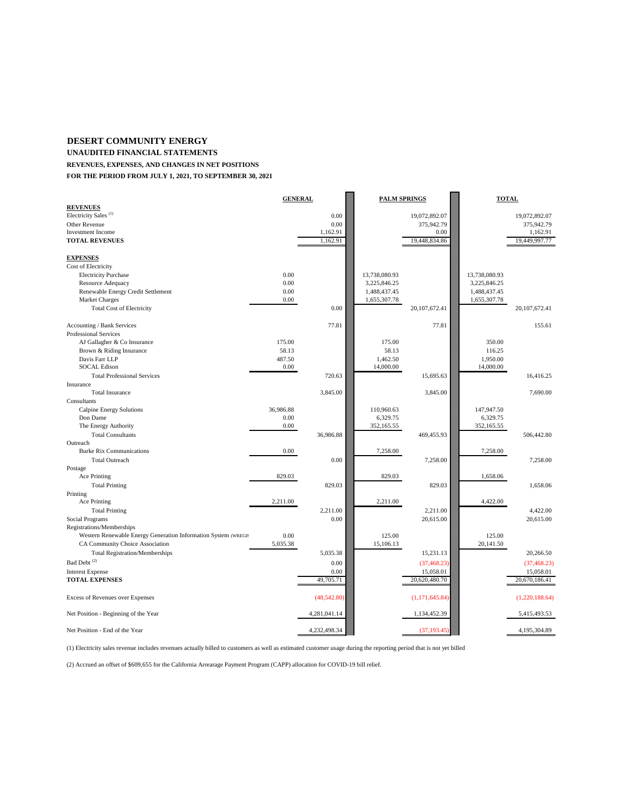#### **DESERT COMMUNITY ENERGY**

**UNAUDITED FINANCIAL STATEMENTS**

**REVENUES, EXPENSES, AND CHANGES IN NET POSITIONS**

**FOR THE PERIOD FROM JULY 1, 2021, TO SEPTEMBER 30, 2021**

|                                                                | <b>GENERAL</b> |              | <b>PALM SPRINGS</b> |                 | <b>TOTAL</b>  |                 |
|----------------------------------------------------------------|----------------|--------------|---------------------|-----------------|---------------|-----------------|
| <b>REVENUES</b>                                                |                |              |                     |                 |               |                 |
| Electricity Sales <sup>(1)</sup>                               |                | 0.00         |                     | 19,072,892.07   |               | 19,072,892.07   |
| Other Revenue                                                  |                | 0.00         |                     | 375,942.79      |               | 375,942.79      |
| <b>Investment</b> Income                                       |                | 1,162.91     |                     | 0.00            |               | 1,162.91        |
| <b>TOTAL REVENUES</b>                                          |                | 1,162.91     |                     | 19,448,834.86   |               | 19,449,997.77   |
|                                                                |                |              |                     |                 |               |                 |
| <b>EXPENSES</b><br>Cost of Electricity                         |                |              |                     |                 |               |                 |
| <b>Electricity Purchase</b>                                    | 0.00           |              | 13,738,080.93       |                 | 13,738,080.93 |                 |
| Resource Adequacy                                              | 0.00           |              | 3,225,846.25        |                 | 3,225,846.25  |                 |
| Renewable Energy Credit Settlement                             | 0.00           |              | 1,488,437.45        |                 | 1,488,437.45  |                 |
| <b>Market Charges</b>                                          | 0.00           |              | 1,655,307.78        |                 | 1,655,307.78  |                 |
|                                                                |                | 0.00         |                     | 20, 107, 672.41 |               | 20, 107, 672.41 |
| <b>Total Cost of Electricity</b>                               |                |              |                     |                 |               |                 |
| Accounting / Bank Services                                     |                | 77.81        |                     | 77.81           |               | 155.61          |
| <b>Professional Services</b>                                   |                |              |                     |                 |               |                 |
| AJ Gallagher & Co Insurance                                    | 175.00         |              | 175.00              |                 | 350.00        |                 |
| Brown & Riding Insurance                                       | 58.13          |              | 58.13               |                 | 116.25        |                 |
| Davis Farr LLP                                                 | 487.50         |              | 1,462.50            |                 | 1,950.00      |                 |
| <b>SOCAL Edison</b>                                            | 0.00           |              | 14,000.00           |                 | 14,000.00     |                 |
| <b>Total Professional Services</b>                             |                | 720.63       |                     | 15,695.63       |               | 16,416.25       |
| Insurance                                                      |                |              |                     |                 |               |                 |
| <b>Total Insurance</b>                                         |                | 3,845.00     |                     | 3,845.00        |               | 7.690.00        |
| Consultants                                                    |                |              |                     |                 |               |                 |
| Calpine Energy Solutions                                       | 36,986.88      |              | 110,960.63          |                 | 147,947.50    |                 |
| Don Dame                                                       | 0.00           |              | 6,329.75            |                 | 6,329.75      |                 |
| The Energy Authority                                           | 0.00           |              | 352,165.55          |                 | 352,165.55    |                 |
| <b>Total Consultants</b>                                       |                | 36,986.88    |                     | 469,455.93      |               | 506,442.80      |
| Outreach                                                       |                |              |                     |                 |               |                 |
| <b>Burke Rix Communications</b>                                | 0.00           |              | 7,258.00            |                 | 7,258.00      |                 |
| <b>Total Outreach</b>                                          |                | 0.00         |                     | 7,258.00        |               | 7,258.00        |
| Postage                                                        |                |              |                     |                 |               |                 |
| Ace Printing                                                   | 829.03         |              | 829.03              |                 | 1,658.06      |                 |
| <b>Total Printing</b>                                          |                | 829.03       |                     | 829.03          |               | 1,658.06        |
| Printing                                                       |                |              |                     |                 |               |                 |
| Ace Printing                                                   | 2,211.00       |              | 2,211.00            |                 | 4,422.00      |                 |
| <b>Total Printing</b>                                          |                | 2,211.00     |                     | 2,211.00        |               | 4.422.00        |
| Social Programs                                                |                | 0.00         |                     | 20,615.00       |               | 20,615.00       |
| Registrations/Memberships                                      |                |              |                     |                 |               |                 |
| Western Renewable Energy Generation Information System (WREGIS | 0.00           |              | 125.00              |                 | 125.00        |                 |
| CA Community Choice Association                                | 5,035.38       |              | 15,106.13           |                 | 20,141.50     |                 |
| <b>Total Registration/Memberships</b>                          |                | 5,035.38     |                     | 15,231.13       |               | 20,266.50       |
| $\mathbf{Bad}$ Debt $^{(2)}$                                   |                | 0.00         |                     | (37, 468.23)    |               | (37, 468.23)    |
| <b>Interest Expense</b>                                        |                | 0.00         |                     | 15,058.01       |               | 15,058.01       |
| <b>TOTAL EXPENSES</b>                                          |                | 49,705.71    |                     | 20,620,480.70   |               | 20,670,186.41   |
|                                                                |                |              |                     |                 |               |                 |
| Excess of Revenues over Expenses                               |                | (48,542.80)  |                     | (1,171,645.84)  |               | (1,220,188.64)  |
| Net Position - Beginning of the Year                           |                | 4,281,041.14 |                     | 1,134,452.39    |               | 5,415,493.53    |
| Net Position - End of the Year                                 |                | 4,232,498.34 |                     | (37, 193.45)    |               | 4,195,304.89    |

(1) Electricity sales revenue includes revenues actually billed to customers as well as estimated customer usage during the reporting period that is not yet billed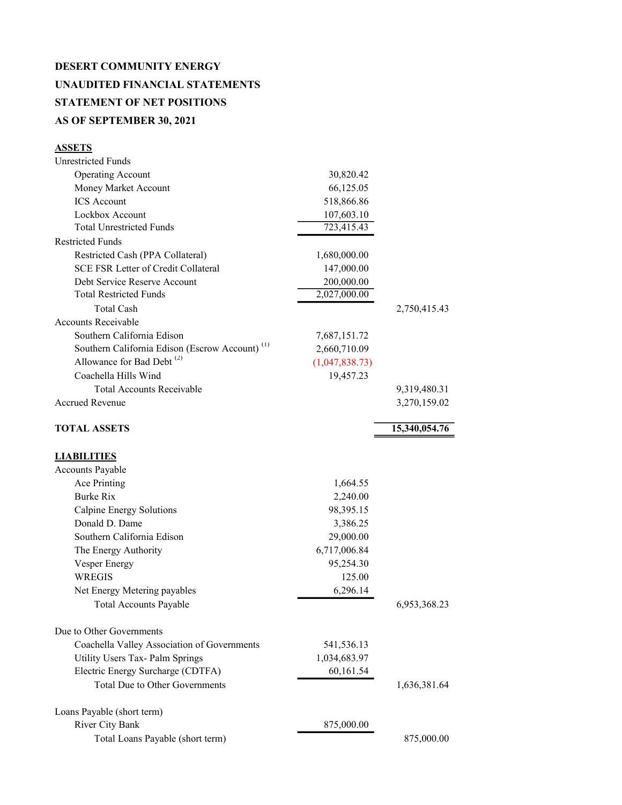## DESERT COMMUNITY ENERGY UNAUDITED FINANCIAL STATEMENTS STATEMENT OF NET POSITIONS AS OF SEPTEMBER 30, 2021

### **ASSETS**

| <b>Unrestricted Funds</b>                                  |                |               |
|------------------------------------------------------------|----------------|---------------|
| <b>Operating Account</b>                                   | 30,820.42      |               |
| Money Market Account                                       | 66,125.05      |               |
| <b>ICS</b> Account                                         | 518,866.86     |               |
| Lockbox Account                                            | 107,603.10     |               |
| <b>Total Unrestricted Funds</b>                            | 723,415.43     |               |
| <b>Restricted Funds</b>                                    |                |               |
| Restricted Cash (PPA Collateral)                           | 1,680,000.00   |               |
| <b>SCE FSR Letter of Credit Collateral</b>                 | 147,000.00     |               |
| Debt Service Reserve Account                               | 200,000.00     |               |
| <b>Total Restricted Funds</b>                              | 2,027,000.00   |               |
| <b>Total Cash</b>                                          |                | 2,750,415.43  |
| <b>Accounts Receivable</b>                                 |                |               |
| Southern California Edison                                 | 7,687,151.72   |               |
| Southern California Edison (Escrow Account) <sup>(1)</sup> | 2,660,710.09   |               |
| Allowance for Bad Debt <sup>(2)</sup>                      | (1,047,838.73) |               |
| Coachella Hills Wind                                       | 19,457.23      |               |
| <b>Total Accounts Receivable</b>                           |                | 9,319,480.31  |
| <b>Accrued Revenue</b>                                     |                | 3,270,159.02  |
|                                                            |                |               |
| <b>TOTAL ASSETS</b>                                        |                | 15,340,054.76 |
|                                                            |                |               |
| <b>LIABILITIES</b>                                         |                |               |
| <b>Accounts Payable</b>                                    |                |               |
| Ace Printing                                               | 1,664.55       |               |
| <b>Burke Rix</b>                                           | 2,240.00       |               |
| Calpine Energy Solutions                                   | 98,395.15      |               |
| Donald D. Dame                                             | 3,386.25       |               |
| Southern California Edison                                 | 29,000.00      |               |
| The Energy Authority                                       | 6,717,006.84   |               |
| <b>Vesper Energy</b>                                       | 95,254.30      |               |
| <b>WREGIS</b>                                              | 125.00         |               |
| Net Energy Metering payables                               | 6,296.14       |               |
| <b>Total Accounts Payable</b>                              |                | 6,953,368.23  |
| Due to Other Governments                                   |                |               |
| Coachella Valley Association of Governments                | 541,536.13     |               |
| Utility Users Tax- Palm Springs                            | 1,034,683.97   |               |
| Electric Energy Surcharge (CDTFA)                          | 60,161.54      |               |
| <b>Total Due to Other Governments</b>                      |                | 1,636,381.64  |
| Loans Payable (short term)                                 |                |               |
| River City Bank                                            |                |               |
|                                                            | 875,000.00     |               |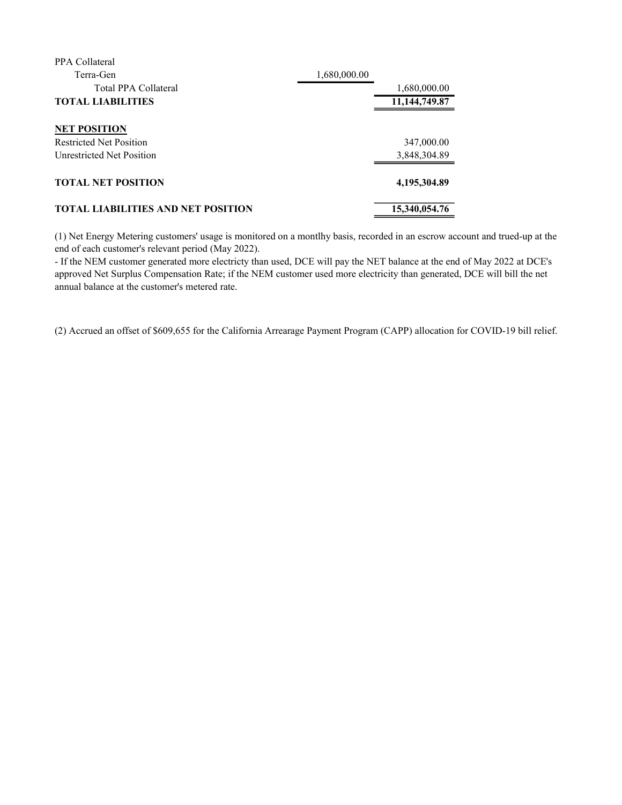| PPA Collateral                            |               |
|-------------------------------------------|---------------|
| Terra-Gen                                 | 1,680,000.00  |
| Total PPA Collateral                      | 1,680,000.00  |
| <b>TOTAL LIABILITIES</b>                  | 11,144,749.87 |
|                                           |               |
| <b>NET POSITION</b>                       |               |
| <b>Restricted Net Position</b>            | 347,000.00    |
| Unrestricted Net Position                 | 3,848,304.89  |
|                                           |               |
| <b>TOTAL NET POSITION</b>                 | 4,195,304.89  |
|                                           |               |
| <b>TOTAL LIABILITIES AND NET POSITION</b> | 15,340,054.76 |
|                                           |               |

(1) Net Energy Metering customers' usage is monitored on a montlhy basis, recorded in an escrow account and trued-up at the end of each customer's relevant period (May 2022).

- If the NEM customer generated more electricty than used, DCE will pay the NET balance at the end of May 2022 at DCE's approved Net Surplus Compensation Rate; if the NEM customer used more electricity than generated, DCE will bill the net annual balance at the customer's metered rate.